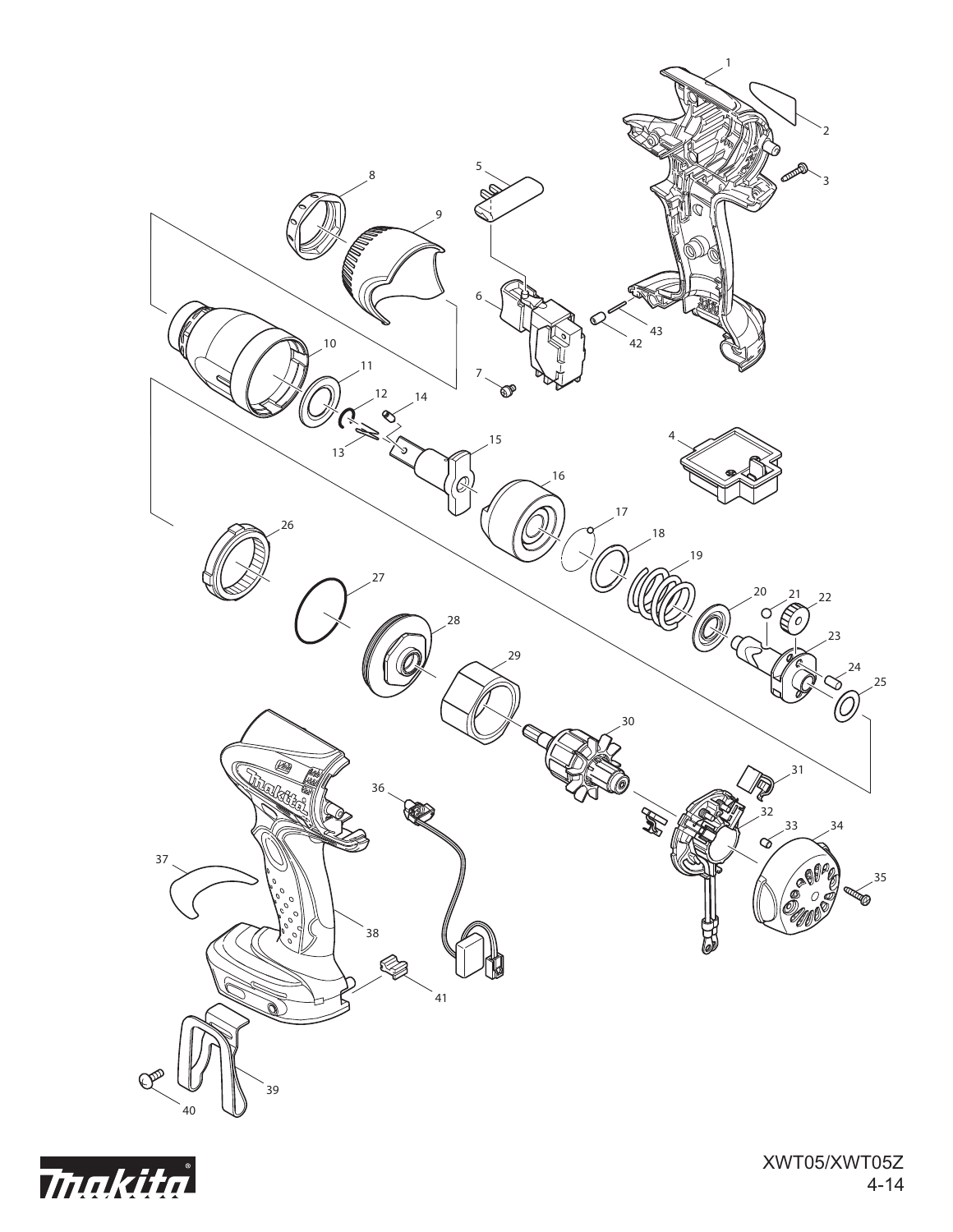